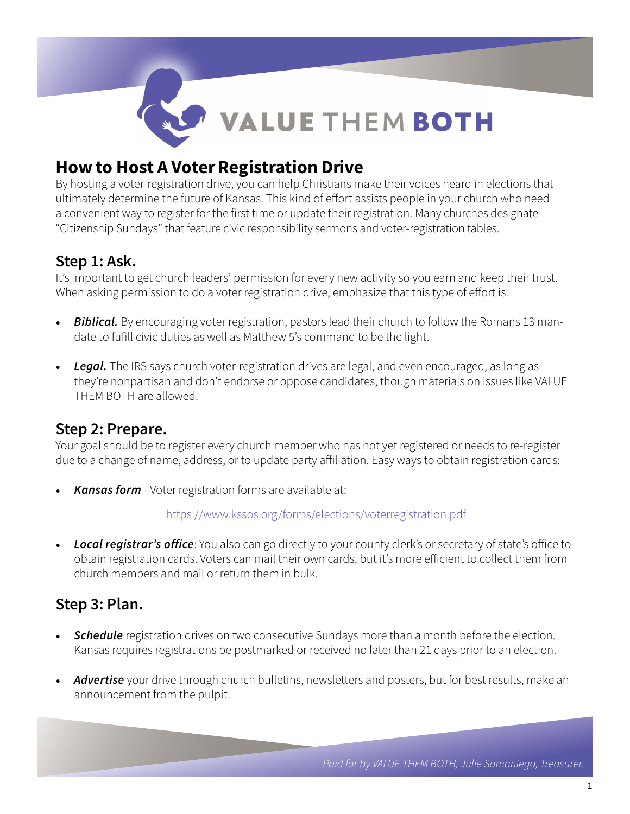

# How to Host A Voter Registration Drive

By hosting a voter-registration drive, you can help Christians make their voices heard in elections that ultimately determine the future of Kansas. This kind of effort assists people in your church who need a convenient way to register for the first time or update their registration. Many churches designate "Citizenship Sundays" that feature civic responsibility sermons and voter-registration tables.

### Step 1: Ask.

It's important to get church leaders' permission for every new activity so you earn and keep their trust. When asking permission to do a voter registration drive, emphasize that this type of effort is:

- *Biblical.* By encouraging voter registration, pastors lead their church to follow the Romans 13 mandate to fufill civic duties as well as Matthew 5's command to be the light.
- *Legal.* The IRS says church voter-registration drives are legal, and even encouraged, as long as they're nonpartisan and don't endorse or oppose candidates, though materials on issues like VALUE THEM BOTH are allowed.

### Step 2: Prepare.

Your goal should be to register every church member who has not yet registered or needs to re-register due to a change of name, address, or to update party affiliation. Easy ways to obtain registration cards:

• *Kansas form* - Voter registration forms are available at:

<https://www.kssos.org/forms/elections/voterregistration.pdf>

• *Local registrar's office*: You also can go directly to your county clerk's or secretary of state's office to obtain registration cards. Voters can mail their own cards, but it's more efficient to collect them from church members and mail or return them in bulk.

## Step 3: Plan.

- **Schedule** registration drives on two consecutive Sundays more than a month before the election. Kansas requires registrations be postmarked or received no later than 21 days prior to an election.
- *Advertise* your drive through church bulletins, newsletters and posters, but for best results, make an announcement from the pulpit.